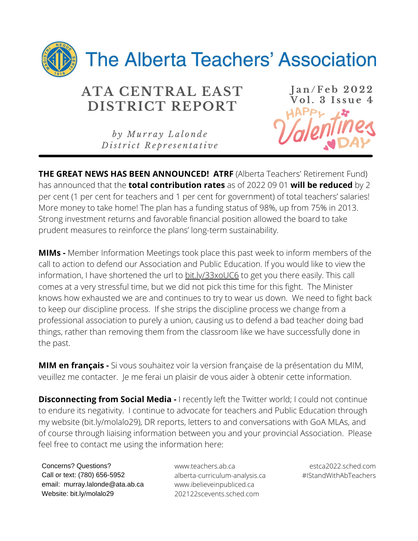

### **ATA CENTRAL EAST DISTRICT REPORT**

*b y Mu r r a y L a l o n d e D ist r i c t R e p r e s e n t a ti v e*



**THE GREAT NEWS HAS BEEN ANNOUNCED! ATRF** (Alberta Teachers' Retirement Fund) has announced that the **total contribution rates** as of 2022 09 01 **will be reduced** by 2 per cent (1 per cent for teachers and 1 per cent for government) of total teachers' salaries! More money to take home! The plan has a funding status of 98%, up from 75% in 2013. Strong investment returns and favorable financial position allowed the board to take prudent measures to reinforce the plans' long-term sustainability.

**MIMs -** Member Information Meetings took place this past week to inform members of the call to action to defend our Association and Public Education. If you would like to view the information, I have shortened the url to bit.ly/33xoUC6 to get you there easily. This call comes at a very stressful time, but we did not pick this time for this fight. The Minister knows how exhausted we are and continues to try to wear us down. We need to fight back to keep our discipline process. If she strips the discipline process we change from a professional association to purely a union, causing us to defend a bad teacher doing bad things, rather than removing them from the classroom like we have successfully done in the past.

**MIM en français -** Si vous souhaitez voir la version française de la présentation du MIM, veuillez me contacter. Je me ferai un plaisir de vous aider à obtenir cette information.

**Disconnecting from Social Media - I recently left the Twitter world; I could not continue** to endure its negativity. I continue to advocate for teachers and Public Education through my website (bit.ly/molalo29), DR reports, letters to and conversations with GoA MLAs, and of course through liaising information between you and your provincial Association. Please feel free to contact me using the information here:

Concerns? Questions? Call or text: (780) 656-5952 email: murray.lalonde@ata.ab.ca Website: bit.ly/molalo29

www.teachers.ab.ca alberta-curriculum-analysis.ca www.ibelieveinpubliced.ca 202122scevents.sched.com

estca2022.sched.com #IStandWithAbTeachers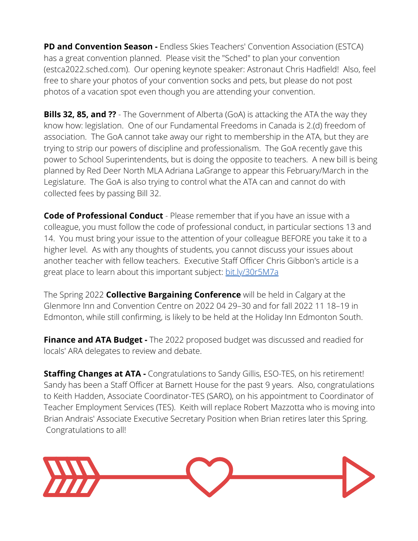**PD and Convention Season -** Endless Skies Teachers' Convention Association (ESTCA) has a great convention planned. Please visit the "Sched" to plan your convention (estca2022.sched.com). Our opening keynote speaker: Astronaut Chris Hadfield! Also, feel free to share your photos of your convention socks and pets, but please do not post photos of a vacation spot even though you are attending your convention.

**Bills 32, 85, and ??** - The Government of Alberta (GoA) is attacking the ATA the way they know how: legislation. One of our Fundamental Freedoms in Canada is 2.(d) freedom of association. The GoA cannot take away our right to membership in the ATA, but they are trying to strip our powers of discipline and professionalism. The GoA recently gave this power to School Superintendents, but is doing the opposite to teachers. A new bill is being planned by Red Deer North MLA Adriana LaGrange to appear this February/March in the Legislature. The GoA is also trying to control what the ATA can and cannot do with collected fees by passing Bill 32.

**Code of Professional Conduct** - Please remember that if you have an issue with a colleague, you must follow the code of professional conduct, in particular sections 13 and 14. You must bring your issue to the attention of your colleague BEFORE you take it to a higher level. As with any thoughts of students, you cannot discuss your issues about another teacher with fellow teachers. Executive Staff Officer Chris Gibbon's article is a great place to learn about this important subject: bit.ly/30r5M7a

The Spring 2022 **Collective Bargaining Conference** will be held in Calgary at the Glenmore Inn and Convention Centre on 2022 04 29–30 and for fall 2022 11 18–19 in Edmonton, while still confirming, is likely to be held at the Holiday Inn Edmonton South.

**Finance and ATA Budget -** The 2022 proposed budget was discussed and readied for locals' ARA delegates to review and debate.

**Staffing Changes at ATA -** Congratulations to Sandy Gillis, ESO-TES, on his retirement! Sandy has been a Staff Officer at Barnett House for the past 9 years. Also, congratulations to Keith Hadden, Associate Coordinator-TES (SARO), on his appointment to Coordinator of Teacher Employment Services (TES). Keith will replace Robert Mazzotta who is moving into Brian Andrais' Associate Executive Secretary Position when Brian retires later this Spring. Congratulations to all!

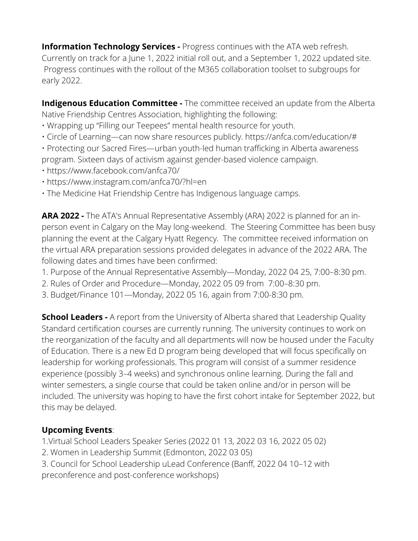**Information Technology Services -** Progress continues with the ATA web refresh. Currently on track for a June 1, 2022 initial roll out, and a September 1, 2022 updated site. Progress continues with the rollout of the M365 collaboration toolset to subgroups for early 2022.

**Indigenous Education Committee -** The committee received an update from the Alberta Native Friendship Centres Association, highlighting the following:

- Wrapping up "Filling our Teepees" mental health resource for youth.
- Circle of Learning—can now share resources publicly. https://anfca.com/education/#
- Protecting our Sacred Fires—urban youth-led human trafficking in Alberta awareness program. Sixteen days of activism against gender-based violence campaign.
- https://www.facebook.com/anfca70/
- https://www.instagram.com/anfca70/?hl=en
- The Medicine Hat Friendship Centre has Indigenous language camps.

**ARA 2022 -** The ATA's Annual Representative Assembly (ARA) 2022 is planned for an inperson event in Calgary on the May long-weekend. The Steering Committee has been busy planning the event at the Calgary Hyatt Regency. The committee received information on the virtual ARA preparation sessions provided delegates in advance of the 2022 ARA. The following dates and times have been confirmed:

- 1. Purpose of the Annual Representative Assembly—Monday, 2022 04 25, 7:00–8:30 pm.
- 2. Rules of Order and Procedure—Monday, 2022 05 09 from 7:00–8:30 pm.
- 3. Budget/Finance 101—Monday, 2022 05 16, again from 7:00-8:30 pm.

**School Leaders -** A report from the University of Alberta shared that Leadership Quality Standard certification courses are currently running. The university continues to work on the reorganization of the faculty and all departments will now be housed under the Faculty of Education. There is a new Ed D program being developed that will focus specifically on leadership for working professionals. This program will consist of a summer residence experience (possibly 3–4 weeks) and synchronous online learning. During the fall and winter semesters, a single course that could be taken online and/or in person will be included. The university was hoping to have the first cohort intake for September 2022, but this may be delayed.

#### **Upcoming Events**:

- 1.Virtual School Leaders Speaker Series (2022 01 13, 2022 03 16, 2022 05 02)
- 2. Women in Leadership Summit (Edmonton, 2022 03 05)
- 3. Council for School Leadership uLead Conference (Banff, 2022 04 10–12 with preconference and post-conference workshops)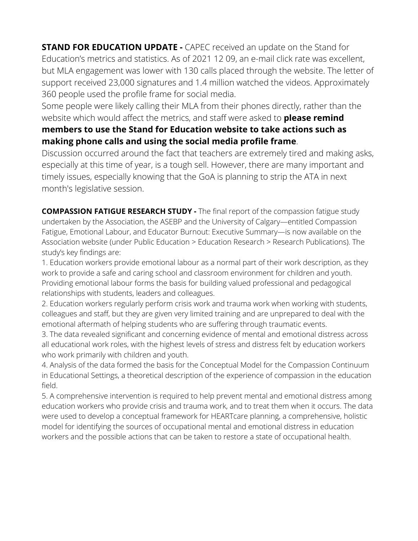**STAND FOR EDUCATION UPDATE -** CAPEC received an update on the Stand for Education's metrics and statistics. As of 2021 12 09, an e-mail click rate was excellent, but MLA engagement was lower with 130 calls placed through the website. The letter of support received 23,000 signatures and 1.4 million watched the videos. Approximately 360 people used the profile frame for social media.

Some people were likely calling their MLA from their phones directly, rather than the website which would affect the metrics, and staff were asked to **please remind members to use the Stand for Education website to take actions such as making phone calls and using the social media profile frame**.

Discussion occurred around the fact that teachers are extremely tired and making asks, especially at this time of year, is a tough sell. However, there are many important and timely issues, especially knowing that the GoA is planning to strip the ATA in next month's legislative session.

**COMPASSION FATIGUE RESEARCH STUDY -** The final report of the compassion fatigue study undertaken by the Association, the ASEBP and the University of Calgary—entitled Compassion Fatigue, Emotional Labour, and Educator Burnout: Executive Summary—is now available on the Association website (under Public Education > Education Research > Research Publications). The study's key findings are:

1. Education workers provide emotional labour as a normal part of their work description, as they work to provide a safe and caring school and classroom environment for children and youth. Providing emotional labour forms the basis for building valued professional and pedagogical relationships with students, leaders and colleagues.

2. Education workers regularly perform crisis work and trauma work when working with students, colleagues and staff, but they are given very limited training and are unprepared to deal with the emotional aftermath of helping students who are suffering through traumatic events.

3. The data revealed significant and concerning evidence of mental and emotional distress across all educational work roles, with the highest levels of stress and distress felt by education workers who work primarily with children and youth.

4. Analysis of the data formed the basis for the Conceptual Model for the Compassion Continuum in Educational Settings, a theoretical description of the experience of compassion in the education field.

5. A comprehensive intervention is required to help prevent mental and emotional distress among education workers who provide crisis and trauma work, and to treat them when it occurs. The data were used to develop a conceptual framework for HEARTcare planning, a comprehensive, holistic model for identifying the sources of occupational mental and emotional distress in education workers and the possible actions that can be taken to restore a state of occupational health.